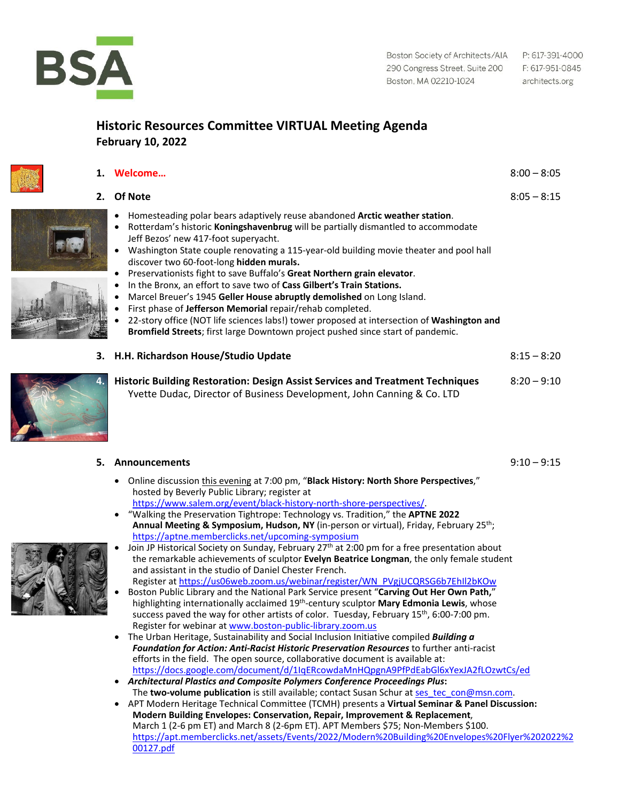

## **Historic Resources Committee VIRTUAL Meeting Agenda February 10, 2022**